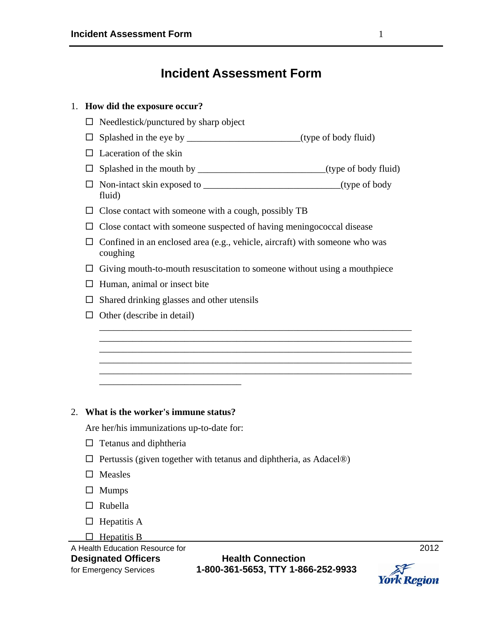## **Incident Assessment Form**

# A Health Education Resource for<br> **Designated Officers** 
2012 1. **How did the exposure occur?**   $\Box$  Needlestick/punctured by sharp object  $\Box$  Splashed in the eye by \_\_\_\_\_\_\_\_\_\_\_\_\_\_\_\_\_\_\_\_\_\_\_\_\_\_(type of body fluid)  $\Box$  Laceration of the skin  $\Box$  Splashed in the mouth by \_\_\_\_\_\_\_\_\_\_\_\_\_\_\_\_\_\_\_\_\_\_\_\_\_\_\_(type of body fluid) Non-intact skin exposed to \_\_\_\_\_\_\_\_\_\_\_\_\_\_\_\_\_\_\_\_\_\_\_\_\_\_\_\_\_(type of body fluid)  $\square$  Close contact with someone with a cough, possibly TB  $\Box$  Close contact with someone suspected of having meningococcal disease  $\Box$  Confined in an enclosed area (e.g., vehicle, aircraft) with someone who was coughing  $\Box$  Giving mouth-to-mouth resuscitation to someone without using a mouthpiece  $\Box$  Human, animal or insect bite  $\Box$  Shared drinking glasses and other utensils  $\Box$  Other (describe in detail) \_\_\_\_\_\_\_\_\_\_\_\_\_\_\_\_\_\_\_\_\_\_\_\_\_\_\_\_\_\_\_\_\_\_\_\_\_\_\_\_\_\_\_\_\_\_\_\_\_\_\_\_\_\_\_\_\_\_\_\_\_\_\_\_\_\_ \_\_\_\_\_\_\_\_\_\_\_\_\_\_\_\_\_\_\_\_\_\_\_\_\_\_\_\_\_\_\_\_\_\_\_\_\_\_\_\_\_\_\_\_\_\_\_\_\_\_\_\_\_\_\_\_\_\_\_\_\_\_\_\_\_\_ \_\_\_\_\_\_\_\_\_\_\_\_\_\_\_\_\_\_\_\_\_\_\_\_\_\_\_\_\_\_\_\_\_\_\_\_\_\_\_\_\_\_\_\_\_\_\_\_\_\_\_\_\_\_\_\_\_\_\_\_\_\_\_\_\_\_ \_\_\_\_\_\_\_\_\_\_\_\_\_\_\_\_\_\_\_\_\_\_\_\_\_\_\_\_\_\_\_\_\_\_\_\_\_\_\_\_\_\_\_\_\_\_\_\_\_\_\_\_\_\_\_\_\_\_\_\_\_\_\_\_\_\_ \_\_\_\_\_\_\_\_\_\_\_\_\_\_\_\_\_\_\_\_\_\_\_\_\_\_\_\_\_\_\_\_\_\_\_\_\_\_\_\_\_\_\_\_\_\_\_\_\_\_\_\_\_\_\_\_\_\_\_\_\_\_\_\_\_\_ \_\_\_\_\_\_\_\_\_\_\_\_\_\_\_\_\_\_\_\_\_\_\_\_\_\_\_\_\_\_ 2. **What is the worker's immune status?**  Are her/his immunizations up-to-date for:  $\Box$  Tetanus and diphtheria  $\Box$  Pertussis (given together with tetanus and diphtheria, as Adacel<sup>®</sup>)  $\square$  Measles  $\Box$  Mumps  $\Box$  Rubella  $\Box$  Hepatitis A  $\Box$  Hepatitis B

for Emergency Services **1-800-361-5653, TTY 1-866-252-9933** 

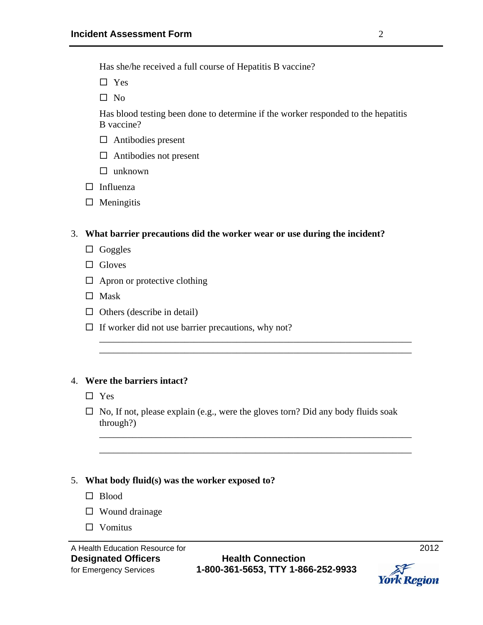Has she/he received a full course of Hepatitis B vaccine?

□ Yes

 $\square$  No

Has blood testing been done to determine if the worker responded to the hepatitis B vaccine?

- $\Box$  Antibodies present
- $\Box$  Antibodies not present
- $\Box$  unknown
- $\Box$  Influenza
- $\Box$  Meningitis

### 3. **What barrier precautions did the worker wear or use during the incident?**

- $\Box$  Goggles
- $\Box$  Gloves
- $\Box$  Apron or protective clothing
- $\Box$  Mask
- $\Box$  Others (describe in detail)
- $\Box$  If worker did not use barrier precautions, why not?

### 4. **Were the barriers intact?**

- □ Yes
- $\Box$  No, If not, please explain (e.g., were the gloves torn? Did any body fluids soak through?)

\_\_\_\_\_\_\_\_\_\_\_\_\_\_\_\_\_\_\_\_\_\_\_\_\_\_\_\_\_\_\_\_\_\_\_\_\_\_\_\_\_\_\_\_\_\_\_\_\_\_\_\_\_\_\_\_\_\_\_\_\_\_\_\_\_\_ \_\_\_\_\_\_\_\_\_\_\_\_\_\_\_\_\_\_\_\_\_\_\_\_\_\_\_\_\_\_\_\_\_\_\_\_\_\_\_\_\_\_\_\_\_\_\_\_\_\_\_\_\_\_\_\_\_\_\_\_\_\_\_\_\_\_

\_\_\_\_\_\_\_\_\_\_\_\_\_\_\_\_\_\_\_\_\_\_\_\_\_\_\_\_\_\_\_\_\_\_\_\_\_\_\_\_\_\_\_\_\_\_\_\_\_\_\_\_\_\_\_\_\_\_\_\_\_\_\_\_\_\_ \_\_\_\_\_\_\_\_\_\_\_\_\_\_\_\_\_\_\_\_\_\_\_\_\_\_\_\_\_\_\_\_\_\_\_\_\_\_\_\_\_\_\_\_\_\_\_\_\_\_\_\_\_\_\_\_\_\_\_\_\_\_\_\_\_\_

### 5. **What body fluid(s) was the worker exposed to?**

- □ Blood
- $\square$  Wound drainage
- $\Box$  Vomitus